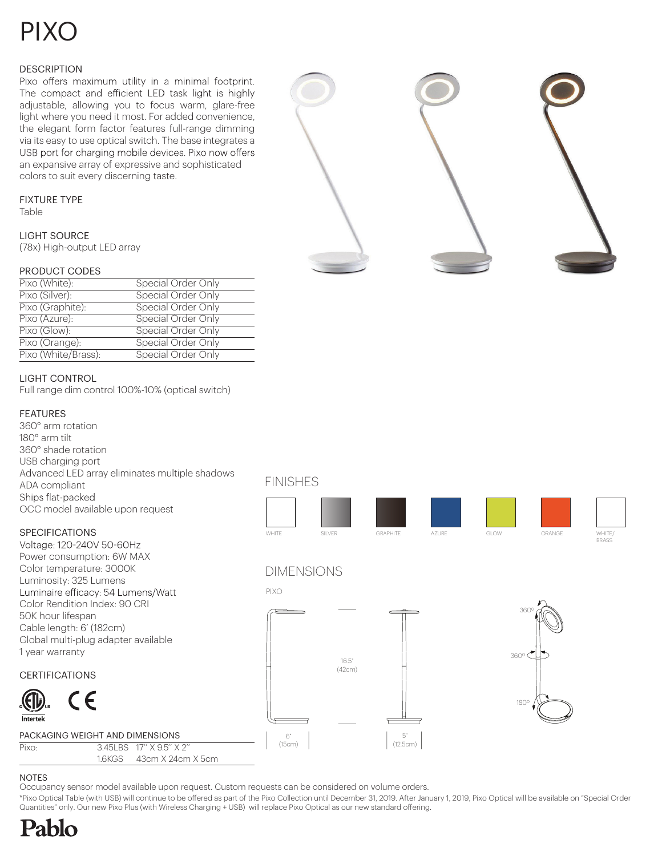# PIXO

### **DESCRIPTION**

Pixo offers maximum utility in a minimal footprint. The compact and efficient LED task light is highly adjustable, allowing you to focus warm, glare-free light where you need it most. For added convenience, the elegant form factor features full-range dimming via its easy to use optical switch. The base integrates a USB port for charging mobile devices. Pixo now offers an expansive array of expressive and sophisticated colors to suit every discerning taste.

### FIXTURE TYPE

Table

### LIGHT SOURCE

(78x) High-output LED array

### PRODUCT CODES

| Pixo (White):       | Special Order Only |
|---------------------|--------------------|
| Pixo (Silver):      | Special Order Only |
| Pixo (Graphite):    | Special Order Only |
| Pixo (Azure):       | Special Order Only |
| Pixo (Glow):        | Special Order Only |
| Pixo (Orange):      | Special Order Only |
| Pixo (White/Brass): | Special Order Only |

### LIGHT CONTROL

Full range dim control 100%-10% (optical switch)

### FEATURES

360° arm rotation 180° arm tilt 360° shade rotation USB charging port Advanced LED array eliminates multiple shadows ADA compliant Ships flat-packed OCC model available upon request

### SPECIFICATIONS

Voltage: 120-240V 50-60Hz Power consumption: 6W MAX Color temperature: 3000K Luminosity: 325 Lumens Luminaire efficacy: 54 Lumens/Watt Color Rendition Index: 90 CRI 50K hour lifespan Cable length: 6' (182cm) Global multi-plug adapter available 1 year warranty

### CERTIFICATIONS



#### PACKAGING WEIGHT AND DIMENSIONS

Pixo: 3.45LBS 17'' X 9.5'' X 2'

1.6KGS 43cm X 24cm X 5cm

FINISHES

Occupancy sensor model available upon request. Custom requests can be considered on volume orders.



### DIMENSIONS



\*Pixo Optical Table (with USB) will continue to be offered as part of the Pixo Collection until December 31, 2019. After January 1, 2019, Pixo Optical will be available on "Special Order





NOTES